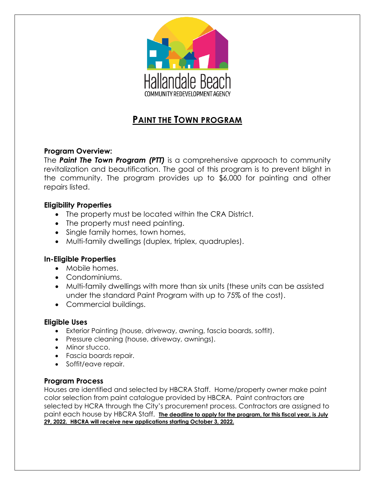

# **PAINT THE TOWN PROGRAM**

## **Program Overview:**

The *Paint The Town Program (PTT)* is a comprehensive approach to community revitalization and beautification. The goal of this program is to prevent blight in the community. The program provides up to \$6,000 for painting and other repairs listed.

## **Eligibility Properties**

- The property must be located within the CRA District.
- The property must need painting.
- Single family homes, town homes,
- Multi-family dwellings (duplex, triplex, quadruples).

## **In-Eligible Properties**

- Mobile homes.
- Condominiums.
- Multi-family dwellings with more than six units (these units can be assisted under the standard Paint Program with up to 75% of the cost).
- Commercial buildings.

## **Eligible Uses**

- Exterior Painting (house, driveway, awning, fascia boards, soffit).
- Pressure cleaning (house, driveway, awnings).
- Minor stucco.
- Fascia boards repair.
- Soffit/eave repair.

#### **Program Process**

Houses are identified and selected by HBCRA Staff. Home/property owner make paint color selection from paint catalogue provided by HBCRA. Paint contractors are selected by HCRA through the City's procurement process. Contractors are assigned to paint each house by HBCRA Staff. **The deadline to apply for the program, for this fiscal year, is July 29, 2022. HBCRA will receive new applications starting October 3, 2022.**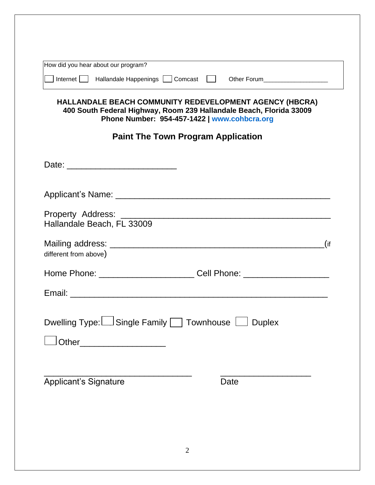| How did you hear about our program?                                                                                                                                                                                                                                                     |                                                                                  |  |  |
|-----------------------------------------------------------------------------------------------------------------------------------------------------------------------------------------------------------------------------------------------------------------------------------------|----------------------------------------------------------------------------------|--|--|
| Internet   Hallandale Happenings   Comcast   Other Forum<br>HALLANDALE BEACH COMMUNITY REDEVELOPMENT AGENCY (HBCRA)<br>400 South Federal Highway, Room 239 Hallandale Beach, Florida 33009<br>Phone Number: 954-457-1422   www.cohbcra.org<br><b>Paint The Town Program Application</b> |                                                                                  |  |  |
|                                                                                                                                                                                                                                                                                         |                                                                                  |  |  |
|                                                                                                                                                                                                                                                                                         |                                                                                  |  |  |
| Hallandale Beach, FL 33009                                                                                                                                                                                                                                                              |                                                                                  |  |  |
| different from above)                                                                                                                                                                                                                                                                   | $($ if                                                                           |  |  |
|                                                                                                                                                                                                                                                                                         | Home Phone: ____________________________Cell Phone: ____________________________ |  |  |
|                                                                                                                                                                                                                                                                                         |                                                                                  |  |  |
| Dwelling Type: $\Box$ Single Family $\Box$ Townhouse $\Box$ Duplex                                                                                                                                                                                                                      |                                                                                  |  |  |
|                                                                                                                                                                                                                                                                                         |                                                                                  |  |  |
| Other________________________                                                                                                                                                                                                                                                           |                                                                                  |  |  |
|                                                                                                                                                                                                                                                                                         |                                                                                  |  |  |
|                                                                                                                                                                                                                                                                                         |                                                                                  |  |  |
| <b>Applicant's Signature</b>                                                                                                                                                                                                                                                            | Date                                                                             |  |  |